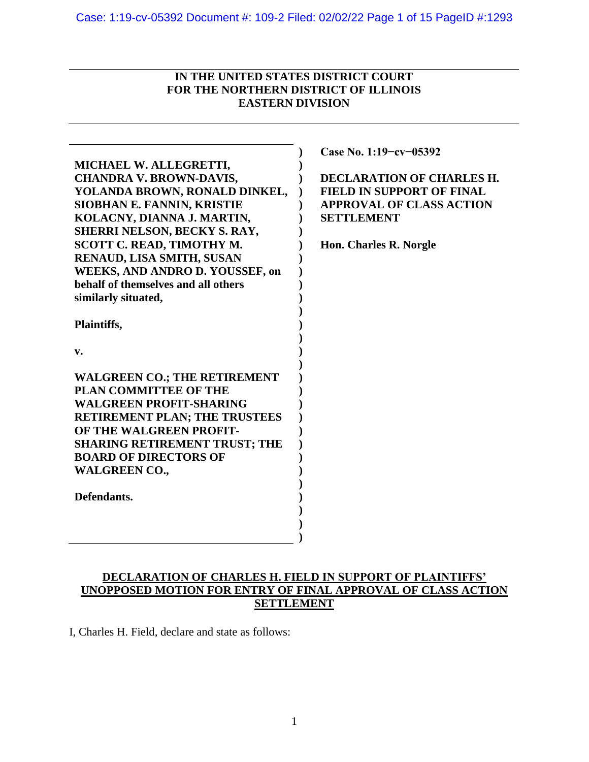## **IN THE UNITED STATES DISTRICT COURT FOR THE NORTHERN DISTRICT OF ILLINOIS EASTERN DIVISION**

|                                      | Case No. 1:19-cv-05392           |
|--------------------------------------|----------------------------------|
| MICHAEL W. ALLEGRETTI,               |                                  |
| <b>CHANDRA V. BROWN-DAVIS,</b>       | <b>DECLARATION OF CHARLES H.</b> |
| YOLANDA BROWN, RONALD DINKEL,        | <b>FIELD IN SUPPORT OF FINAL</b> |
| SIOBHAN E. FANNIN, KRISTIE           | <b>APPROVAL OF CLASS ACTION</b>  |
| KOLACNY, DIANNA J. MARTIN,           | <b>SETTLEMENT</b>                |
| SHERRI NELSON, BECKY S. RAY,         |                                  |
| SCOTT C. READ, TIMOTHY M.            | Hon. Charles R. Norgle           |
| RENAUD, LISA SMITH, SUSAN            |                                  |
| WEEKS, AND ANDRO D. YOUSSEF, on      |                                  |
| behalf of themselves and all others  |                                  |
| similarly situated,                  |                                  |
|                                      |                                  |
| Plaintiffs,                          |                                  |
|                                      |                                  |
| v.                                   |                                  |
| <b>WALGREEN CO.; THE RETIREMENT</b>  |                                  |
| <b>PLAN COMMITTEE OF THE</b>         |                                  |
| <b>WALGREEN PROFIT-SHARING</b>       |                                  |
| <b>RETIREMENT PLAN; THE TRUSTEES</b> |                                  |
| OF THE WALGREEN PROFIT-              |                                  |
| <b>SHARING RETIREMENT TRUST; THE</b> |                                  |
| <b>BOARD OF DIRECTORS OF</b>         |                                  |
| <b>WALGREEN CO.,</b>                 |                                  |
|                                      |                                  |
| Defendants.                          |                                  |
|                                      |                                  |
|                                      |                                  |
|                                      |                                  |

## **DECLARATION OF CHARLES H. FIELD IN SUPPORT OF PLAINTIFFS' UNOPPOSED MOTION FOR ENTRY OF FINAL APPROVAL OF CLASS ACTION SETTLEMENT**

I, Charles H. Field, declare and state as follows: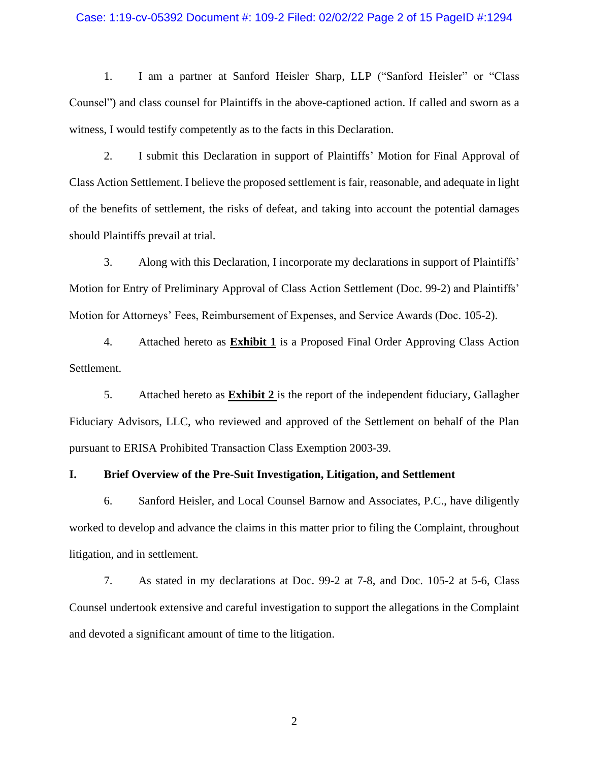#### Case: 1:19-cv-05392 Document #: 109-2 Filed: 02/02/22 Page 2 of 15 PageID #:1294

1. I am a partner at Sanford Heisler Sharp, LLP ("Sanford Heisler" or "Class Counsel") and class counsel for Plaintiffs in the above-captioned action. If called and sworn as a witness, I would testify competently as to the facts in this Declaration.

2. I submit this Declaration in support of Plaintiffs' Motion for Final Approval of Class Action Settlement. I believe the proposed settlement is fair, reasonable, and adequate in light of the benefits of settlement, the risks of defeat, and taking into account the potential damages should Plaintiffs prevail at trial.

3. Along with this Declaration, I incorporate my declarations in support of Plaintiffs' Motion for Entry of Preliminary Approval of Class Action Settlement (Doc. 99-2) and Plaintiffs' Motion for Attorneys' Fees, Reimbursement of Expenses, and Service Awards (Doc. 105-2).

4. Attached hereto as **Exhibit 1** is a Proposed Final Order Approving Class Action Settlement.

5. Attached hereto as **Exhibit 2** is the report of the independent fiduciary, Gallagher Fiduciary Advisors, LLC, who reviewed and approved of the Settlement on behalf of the Plan pursuant to ERISA Prohibited Transaction Class Exemption 2003-39.

#### **I. Brief Overview of the Pre-Suit Investigation, Litigation, and Settlement**

6. Sanford Heisler, and Local Counsel Barnow and Associates, P.C., have diligently worked to develop and advance the claims in this matter prior to filing the Complaint, throughout litigation, and in settlement.

7. As stated in my declarations at Doc. 99-2 at 7-8, and Doc. 105-2 at 5-6, Class Counsel undertook extensive and careful investigation to support the allegations in the Complaint and devoted a significant amount of time to the litigation.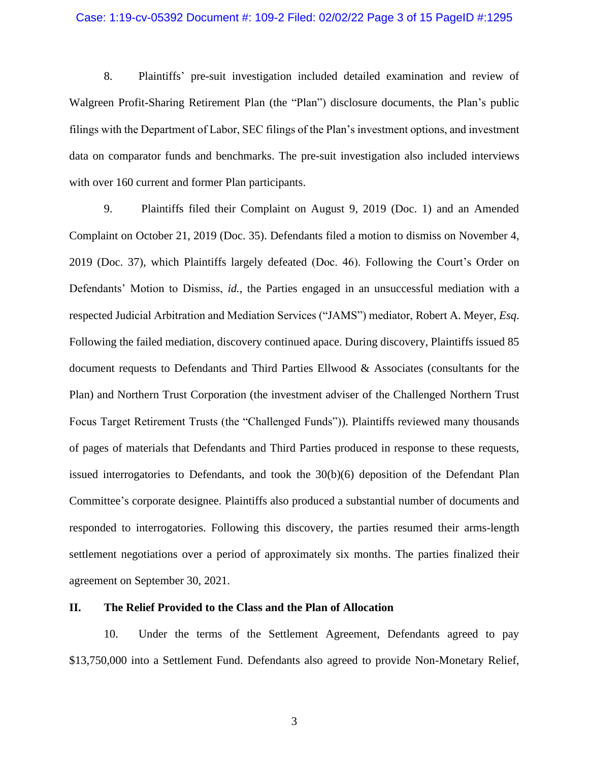#### Case: 1:19-cv-05392 Document #: 109-2 Filed: 02/02/22 Page 3 of 15 PageID #:1295

8. Plaintiffs' pre-suit investigation included detailed examination and review of Walgreen Profit-Sharing Retirement Plan (the "Plan") disclosure documents, the Plan's public filings with the Department of Labor, SEC filings of the Plan's investment options, and investment data on comparator funds and benchmarks. The pre-suit investigation also included interviews with over 160 current and former Plan participants.

9. Plaintiffs filed their Complaint on August 9, 2019 (Doc. 1) and an Amended Complaint on October 21, 2019 (Doc. 35). Defendants filed a motion to dismiss on November 4, 2019 (Doc. 37), which Plaintiffs largely defeated (Doc. 46). Following the Court's Order on Defendants' Motion to Dismiss, *id.*, the Parties engaged in an unsuccessful mediation with a respected Judicial Arbitration and Mediation Services ("JAMS") mediator, Robert A. Meyer, *Esq*. Following the failed mediation, discovery continued apace. During discovery, Plaintiffs issued 85 document requests to Defendants and Third Parties Ellwood & Associates (consultants for the Plan) and Northern Trust Corporation (the investment adviser of the Challenged Northern Trust Focus Target Retirement Trusts (the "Challenged Funds")). Plaintiffs reviewed many thousands of pages of materials that Defendants and Third Parties produced in response to these requests, issued interrogatories to Defendants, and took the 30(b)(6) deposition of the Defendant Plan Committee's corporate designee. Plaintiffs also produced a substantial number of documents and responded to interrogatories. Following this discovery, the parties resumed their arms-length settlement negotiations over a period of approximately six months. The parties finalized their agreement on September 30, 2021.

#### **II. The Relief Provided to the Class and the Plan of Allocation**

10. Under the terms of the Settlement Agreement, Defendants agreed to pay \$13,750,000 into a Settlement Fund. Defendants also agreed to provide Non-Monetary Relief,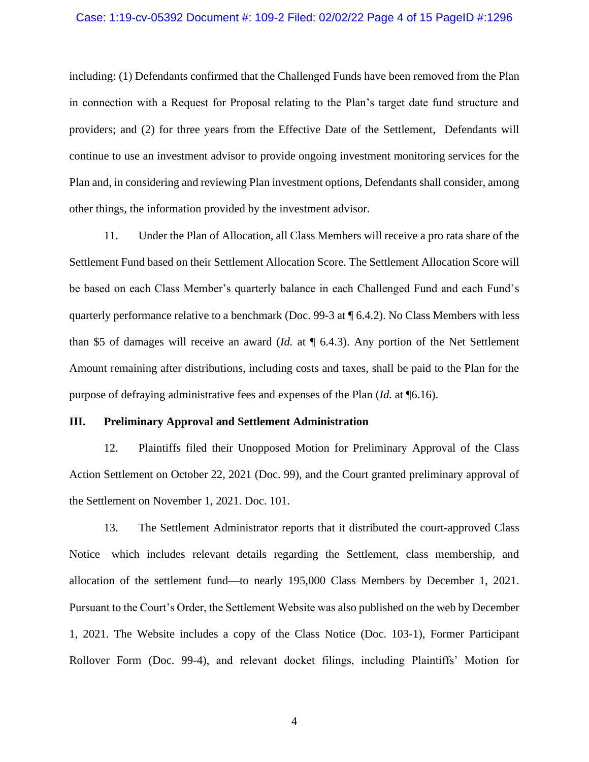#### Case: 1:19-cv-05392 Document #: 109-2 Filed: 02/02/22 Page 4 of 15 PageID #:1296

including: (1) Defendants confirmed that the Challenged Funds have been removed from the Plan in connection with a Request for Proposal relating to the Plan's target date fund structure and providers; and (2) for three years from the Effective Date of the Settlement, Defendants will continue to use an investment advisor to provide ongoing investment monitoring services for the Plan and, in considering and reviewing Plan investment options, Defendants shall consider, among other things, the information provided by the investment advisor.

11. Under the Plan of Allocation, all Class Members will receive a pro rata share of the Settlement Fund based on their Settlement Allocation Score. The Settlement Allocation Score will be based on each Class Member's quarterly balance in each Challenged Fund and each Fund's quarterly performance relative to a benchmark (Doc. 99-3 at ¶ 6.4.2). No Class Members with less than \$5 of damages will receive an award (*Id.* at ¶ 6.4.3). Any portion of the Net Settlement Amount remaining after distributions, including costs and taxes, shall be paid to the Plan for the purpose of defraying administrative fees and expenses of the Plan (*Id.* at ¶6.16).

#### **III. Preliminary Approval and Settlement Administration**

12. Plaintiffs filed their Unopposed Motion for Preliminary Approval of the Class Action Settlement on October 22, 2021 (Doc. 99), and the Court granted preliminary approval of the Settlement on November 1, 2021. Doc. 101.

13. The Settlement Administrator reports that it distributed the court-approved Class Notice—which includes relevant details regarding the Settlement, class membership, and allocation of the settlement fund—to nearly 195,000 Class Members by December 1, 2021. Pursuant to the Court's Order, the Settlement Website was also published on the web by December 1, 2021. The Website includes a copy of the Class Notice (Doc. 103-1), Former Participant Rollover Form (Doc. 99-4), and relevant docket filings, including Plaintiffs' Motion for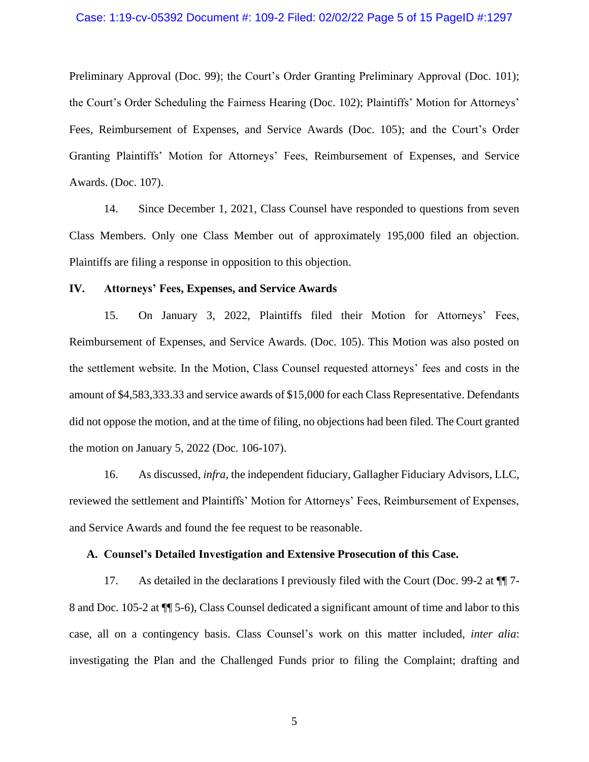#### Case: 1:19-cv-05392 Document #: 109-2 Filed: 02/02/22 Page 5 of 15 PageID #:1297

Preliminary Approval (Doc. 99); the Court's Order Granting Preliminary Approval (Doc. 101); the Court's Order Scheduling the Fairness Hearing (Doc. 102); Plaintiffs' Motion for Attorneys' Fees, Reimbursement of Expenses, and Service Awards (Doc. 105); and the Court's Order Granting Plaintiffs' Motion for Attorneys' Fees, Reimbursement of Expenses, and Service Awards. (Doc. 107).

14. Since December 1, 2021, Class Counsel have responded to questions from seven Class Members. Only one Class Member out of approximately 195,000 filed an objection. Plaintiffs are filing a response in opposition to this objection.

#### **IV. Attorneys' Fees, Expenses, and Service Awards**

15. On January 3, 2022, Plaintiffs filed their Motion for Attorneys' Fees, Reimbursement of Expenses, and Service Awards. (Doc. 105). This Motion was also posted on the settlement website. In the Motion, Class Counsel requested attorneys' fees and costs in the amount of \$4,583,333.33 and service awards of \$15,000 for each Class Representative. Defendants did not oppose the motion, and at the time of filing, no objections had been filed. The Court granted the motion on January 5, 2022 (Doc. 106-107).

16. As discussed, *infra*, the independent fiduciary, Gallagher Fiduciary Advisors, LLC, reviewed the settlement and Plaintiffs' Motion for Attorneys' Fees, Reimbursement of Expenses, and Service Awards and found the fee request to be reasonable.

#### **A. Counsel's Detailed Investigation and Extensive Prosecution of this Case.**

17. As detailed in the declarations I previously filed with the Court (Doc. 99-2 at ¶¶ 7- 8 and Doc. 105-2 at ¶¶ 5-6), Class Counsel dedicated a significant amount of time and labor to this case, all on a contingency basis. Class Counsel's work on this matter included, *inter alia*: investigating the Plan and the Challenged Funds prior to filing the Complaint; drafting and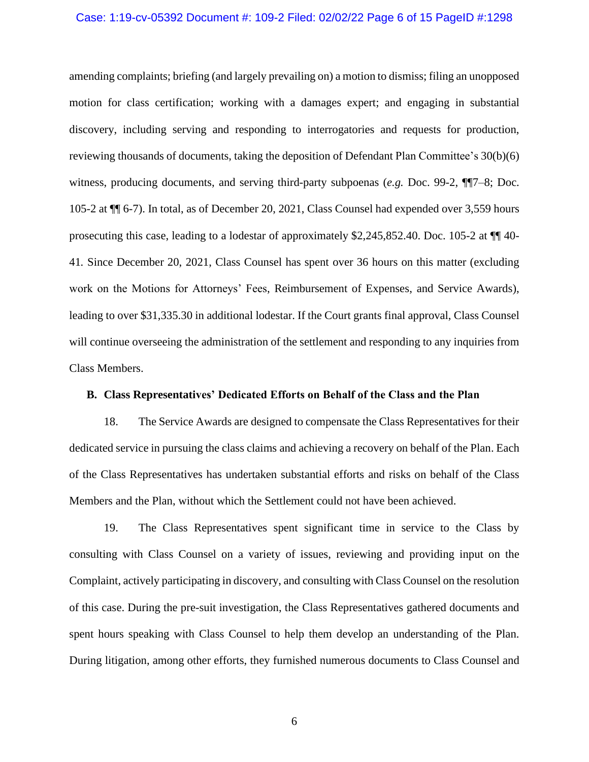#### Case: 1:19-cv-05392 Document #: 109-2 Filed: 02/02/22 Page 6 of 15 PageID #:1298

amending complaints; briefing (and largely prevailing on) a motion to dismiss; filing an unopposed motion for class certification; working with a damages expert; and engaging in substantial discovery, including serving and responding to interrogatories and requests for production, reviewing thousands of documents, taking the deposition of Defendant Plan Committee's 30(b)(6) witness, producing documents, and serving third-party subpoenas (*e.g.* Doc. 99-2, ¶¶7–8; Doc. 105-2 at ¶¶ 6-7). In total, as of December 20, 2021, Class Counsel had expended over 3,559 hours prosecuting this case, leading to a lodestar of approximately \$2,245,852.40. Doc. 105-2 at ¶¶ 40- 41*.* Since December 20, 2021, Class Counsel has spent over 36 hours on this matter (excluding work on the Motions for Attorneys' Fees, Reimbursement of Expenses, and Service Awards), leading to over \$31,335.30 in additional lodestar. If the Court grants final approval, Class Counsel will continue overseeing the administration of the settlement and responding to any inquiries from Class Members.

### **B. Class Representatives' Dedicated Efforts on Behalf of the Class and the Plan**

18. The Service Awards are designed to compensate the Class Representatives for their dedicated service in pursuing the class claims and achieving a recovery on behalf of the Plan. Each of the Class Representatives has undertaken substantial efforts and risks on behalf of the Class Members and the Plan, without which the Settlement could not have been achieved.

19. The Class Representatives spent significant time in service to the Class by consulting with Class Counsel on a variety of issues, reviewing and providing input on the Complaint, actively participating in discovery, and consulting with Class Counsel on the resolution of this case. During the pre-suit investigation, the Class Representatives gathered documents and spent hours speaking with Class Counsel to help them develop an understanding of the Plan. During litigation, among other efforts, they furnished numerous documents to Class Counsel and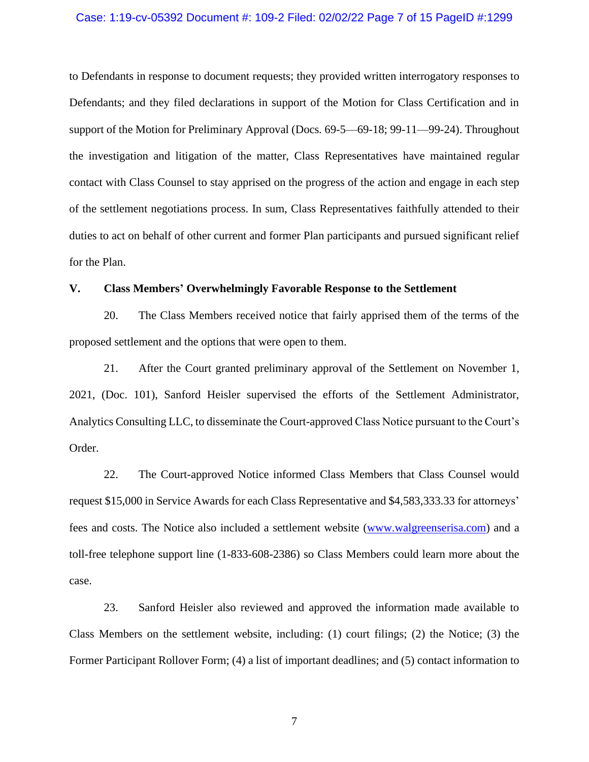#### Case: 1:19-cv-05392 Document #: 109-2 Filed: 02/02/22 Page 7 of 15 PageID #:1299

to Defendants in response to document requests; they provided written interrogatory responses to Defendants; and they filed declarations in support of the Motion for Class Certification and in support of the Motion for Preliminary Approval (Docs*.* 69-5—69-18; 99-11—99-24). Throughout the investigation and litigation of the matter, Class Representatives have maintained regular contact with Class Counsel to stay apprised on the progress of the action and engage in each step of the settlement negotiations process. In sum, Class Representatives faithfully attended to their duties to act on behalf of other current and former Plan participants and pursued significant relief for the Plan.

#### **V. Class Members' Overwhelmingly Favorable Response to the Settlement**

20. The Class Members received notice that fairly apprised them of the terms of the proposed settlement and the options that were open to them.

21. After the Court granted preliminary approval of the Settlement on November 1, 2021, (Doc. 101), Sanford Heisler supervised the efforts of the Settlement Administrator, Analytics Consulting LLC, to disseminate the Court-approved Class Notice pursuant to the Court's Order.

22. The Court-approved Notice informed Class Members that Class Counsel would request \$15,000 in Service Awards for each Class Representative and \$4,583,333.33 for attorneys' fees and costs. The Notice also included a settlement website [\(www.walgreenserisa.com\)](http://www.walgreenserisa.com/) and a toll-free telephone support line (1-833-608-2386) so Class Members could learn more about the case.

23. Sanford Heisler also reviewed and approved the information made available to Class Members on the settlement website, including: (1) court filings; (2) the Notice; (3) the Former Participant Rollover Form; (4) a list of important deadlines; and (5) contact information to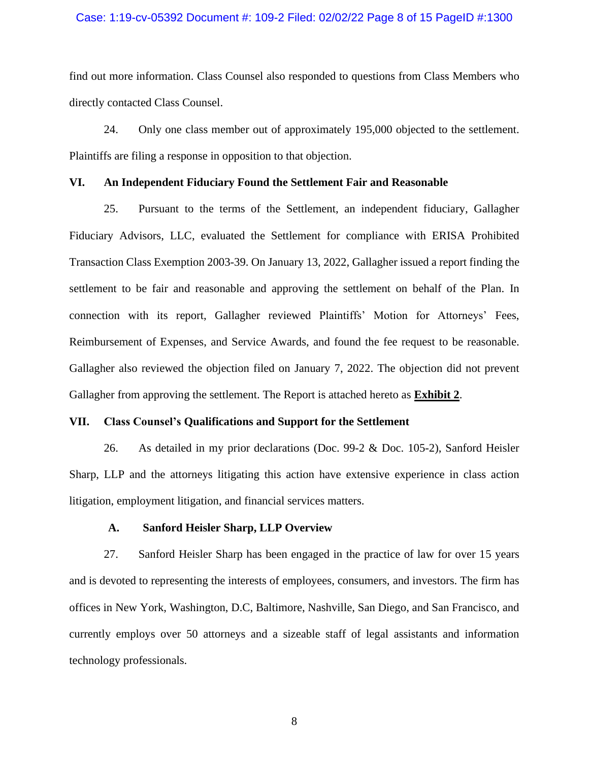#### Case: 1:19-cv-05392 Document #: 109-2 Filed: 02/02/22 Page 8 of 15 PageID #:1300

find out more information. Class Counsel also responded to questions from Class Members who directly contacted Class Counsel.

24. Only one class member out of approximately 195,000 objected to the settlement. Plaintiffs are filing a response in opposition to that objection.

#### **VI. An Independent Fiduciary Found the Settlement Fair and Reasonable**

25. Pursuant to the terms of the Settlement, an independent fiduciary, Gallagher Fiduciary Advisors, LLC, evaluated the Settlement for compliance with ERISA Prohibited Transaction Class Exemption 2003-39. On January 13, 2022, Gallagher issued a report finding the settlement to be fair and reasonable and approving the settlement on behalf of the Plan. In connection with its report, Gallagher reviewed Plaintiffs' Motion for Attorneys' Fees, Reimbursement of Expenses, and Service Awards, and found the fee request to be reasonable. Gallagher also reviewed the objection filed on January 7, 2022. The objection did not prevent Gallagher from approving the settlement. The Report is attached hereto as **Exhibit 2**.

#### **VII. Class Counsel's Qualifications and Support for the Settlement**

26. As detailed in my prior declarations (Doc. 99-2 & Doc. 105-2), Sanford Heisler Sharp, LLP and the attorneys litigating this action have extensive experience in class action litigation, employment litigation, and financial services matters.

#### **A. Sanford Heisler Sharp, LLP Overview**

27. Sanford Heisler Sharp has been engaged in the practice of law for over 15 years and is devoted to representing the interests of employees, consumers, and investors. The firm has offices in New York, Washington, D.C, Baltimore, Nashville, San Diego, and San Francisco, and currently employs over 50 attorneys and a sizeable staff of legal assistants and information technology professionals.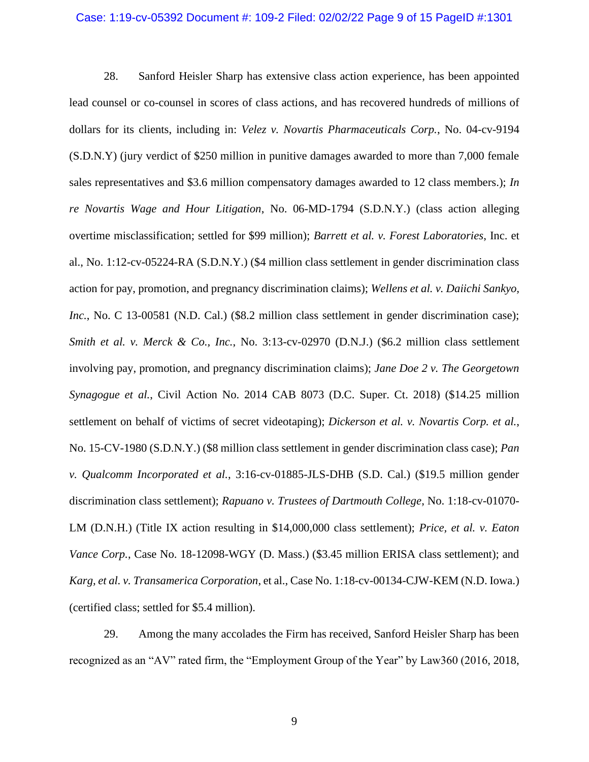#### Case: 1:19-cv-05392 Document #: 109-2 Filed: 02/02/22 Page 9 of 15 PageID #:1301

28. Sanford Heisler Sharp has extensive class action experience, has been appointed lead counsel or co-counsel in scores of class actions, and has recovered hundreds of millions of dollars for its clients, including in: *Velez v. Novartis Pharmaceuticals Corp.*, No. 04-cv-9194 (S.D.N.Y) (jury verdict of \$250 million in punitive damages awarded to more than 7,000 female sales representatives and \$3.6 million compensatory damages awarded to 12 class members.); *In re Novartis Wage and Hour Litigation*, No. 06-MD-1794 (S.D.N.Y.) (class action alleging overtime misclassification; settled for \$99 million); *Barrett et al. v. Forest Laboratories*, Inc. et al., No. 1:12-cv-05224-RA (S.D.N.Y.) (\$4 million class settlement in gender discrimination class action for pay, promotion, and pregnancy discrimination claims); *Wellens et al. v. Daiichi Sankyo, Inc.*, No. C 13-00581 (N.D. Cal.) (\$8.2 million class settlement in gender discrimination case); *Smith et al. v. Merck & Co., Inc.*, No. 3:13-cv-02970 (D.N.J.) (\$6.2 million class settlement involving pay, promotion, and pregnancy discrimination claims); *Jane Doe 2 v. The Georgetown Synagogue et al.*, Civil Action No. 2014 CAB 8073 (D.C. Super. Ct. 2018) (\$14.25 million settlement on behalf of victims of secret videotaping); *Dickerson et al. v. Novartis Corp. et al.*, No. 15-CV-1980 (S.D.N.Y.) (\$8 million class settlement in gender discrimination class case); *Pan v. Qualcomm Incorporated et al.*, 3:16-cv-01885-JLS-DHB (S.D. Cal.) (\$19.5 million gender discrimination class settlement); *Rapuano v. Trustees of Dartmouth College*, No. 1:18-cv-01070- LM (D.N.H.) (Title IX action resulting in \$14,000,000 class settlement); *Price, et al. v. Eaton Vance Corp.*, Case No. 18-12098-WGY (D. Mass.) (\$3.45 million ERISA class settlement); and *Karg, et al. v. Transamerica Corporation*, et al., Case No. 1:18-cv-00134-CJW-KEM (N.D. Iowa.) (certified class; settled for \$5.4 million).

29. Among the many accolades the Firm has received, Sanford Heisler Sharp has been recognized as an "AV" rated firm, the "Employment Group of the Year" by Law360 (2016, 2018,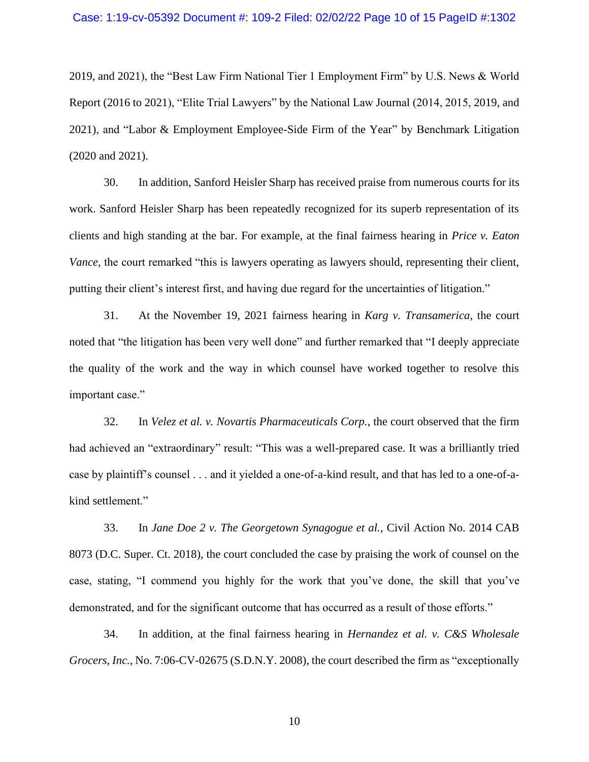#### Case: 1:19-cv-05392 Document #: 109-2 Filed: 02/02/22 Page 10 of 15 PageID #:1302

2019, and 2021), the "Best Law Firm National Tier 1 Employment Firm" by U.S. News & World Report (2016 to 2021), "Elite Trial Lawyers" by the National Law Journal (2014, 2015, 2019, and 2021), and "Labor & Employment Employee-Side Firm of the Year" by Benchmark Litigation (2020 and 2021).

30. In addition, Sanford Heisler Sharp has received praise from numerous courts for its work. Sanford Heisler Sharp has been repeatedly recognized for its superb representation of its clients and high standing at the bar. For example, at the final fairness hearing in *Price v. Eaton Vance*, the court remarked "this is lawyers operating as lawyers should, representing their client, putting their client's interest first, and having due regard for the uncertainties of litigation."

31. At the November 19, 2021 fairness hearing in *Karg v. Transamerica*, the court noted that "the litigation has been very well done" and further remarked that "I deeply appreciate the quality of the work and the way in which counsel have worked together to resolve this important case."

32. In *Velez et al. v. Novartis Pharmaceuticals Corp.*, the court observed that the firm had achieved an "extraordinary" result: "This was a well-prepared case. It was a brilliantly tried case by plaintiff's counsel . . . and it yielded a one-of-a-kind result, and that has led to a one-of-akind settlement."

33. In *Jane Doe 2 v. The Georgetown Synagogue et al.*, Civil Action No. 2014 CAB 8073 (D.C. Super. Ct. 2018), the court concluded the case by praising the work of counsel on the case, stating, "I commend you highly for the work that you've done, the skill that you've demonstrated, and for the significant outcome that has occurred as a result of those efforts."

34. In addition, at the final fairness hearing in *Hernandez et al. v. C&S Wholesale Grocers, Inc.*, No. 7:06-CV-02675 (S.D.N.Y. 2008), the court described the firm as "exceptionally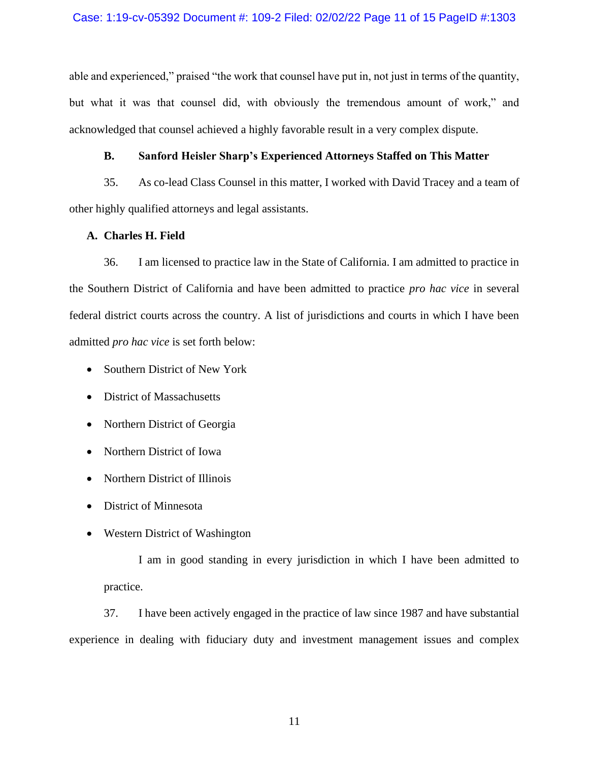able and experienced," praised "the work that counsel have put in, not just in terms of the quantity, but what it was that counsel did, with obviously the tremendous amount of work," and acknowledged that counsel achieved a highly favorable result in a very complex dispute.

#### **B. Sanford Heisler Sharp's Experienced Attorneys Staffed on This Matter**

35. As co-lead Class Counsel in this matter, I worked with David Tracey and a team of other highly qualified attorneys and legal assistants.

#### **A. Charles H. Field**

36. I am licensed to practice law in the State of California. I am admitted to practice in the Southern District of California and have been admitted to practice *pro hac vice* in several federal district courts across the country. A list of jurisdictions and courts in which I have been admitted *pro hac vice* is set forth below:

- Southern District of New York
- District of Massachusetts
- Northern District of Georgia
- Northern District of Iowa
- Northern District of Illinois
- District of Minnesota
- Western District of Washington

I am in good standing in every jurisdiction in which I have been admitted to practice.

37. I have been actively engaged in the practice of law since 1987 and have substantial experience in dealing with fiduciary duty and investment management issues and complex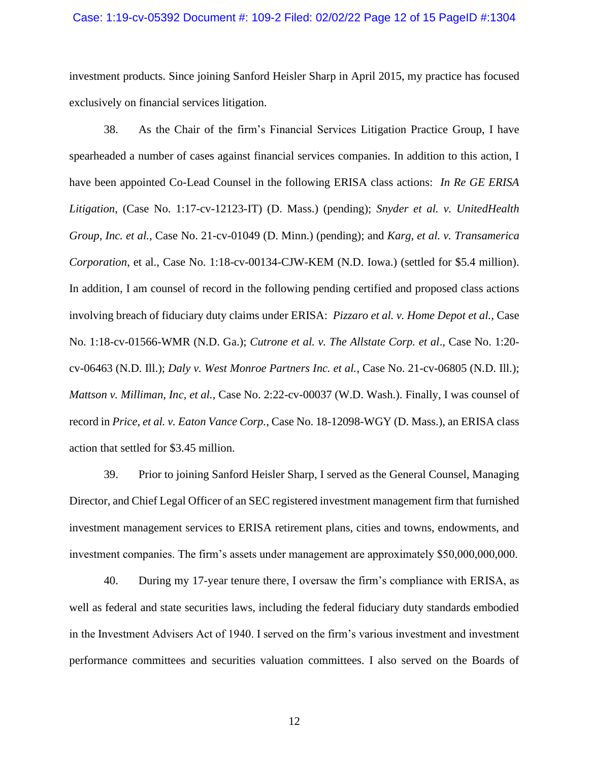#### Case: 1:19-cv-05392 Document #: 109-2 Filed: 02/02/22 Page 12 of 15 PageID #:1304

investment products. Since joining Sanford Heisler Sharp in April 2015, my practice has focused exclusively on financial services litigation.

38. As the Chair of the firm's Financial Services Litigation Practice Group, I have spearheaded a number of cases against financial services companies. In addition to this action, I have been appointed Co-Lead Counsel in the following ERISA class actions: *In Re GE ERISA Litigation*, (Case No. 1:17-cv-12123-IT) (D. Mass.) (pending); *Snyder et al. v. UnitedHealth Group, Inc. et al.*, Case No. 21-cv-01049 (D. Minn.) (pending); and *Karg, et al. v. Transamerica Corporation*, et al., Case No. 1:18-cv-00134-CJW-KEM (N.D. Iowa.) (settled for \$5.4 million). In addition, I am counsel of record in the following pending certified and proposed class actions involving breach of fiduciary duty claims under ERISA: *Pizzaro et al. v. Home Depot et al.*, Case No. 1:18-cv-01566-WMR (N.D. Ga.); *Cutrone et al. v. The Allstate Corp. et al*., Case No. 1:20 cv-06463 (N.D. Ill.); *Daly v. West Monroe Partners Inc. et al.*, Case No. 21-cv-06805 (N.D. Ill.); *Mattson v. Milliman, Inc, et al.*, Case No. 2:22-cv-00037 (W.D. Wash.). Finally, I was counsel of record in *Price, et al. v. Eaton Vance Corp.*, Case No. 18-12098-WGY (D. Mass.), an ERISA class action that settled for \$3.45 million.

39. Prior to joining Sanford Heisler Sharp, I served as the General Counsel, Managing Director, and Chief Legal Officer of an SEC registered investment management firm that furnished investment management services to ERISA retirement plans, cities and towns, endowments, and investment companies. The firm's assets under management are approximately \$50,000,000,000.

40. During my 17-year tenure there, I oversaw the firm's compliance with ERISA, as well as federal and state securities laws, including the federal fiduciary duty standards embodied in the Investment Advisers Act of 1940. I served on the firm's various investment and investment performance committees and securities valuation committees. I also served on the Boards of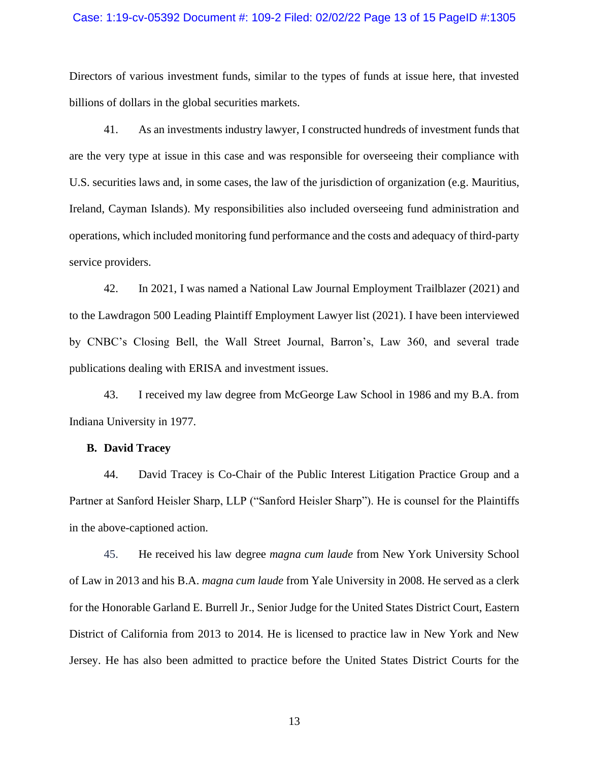#### Case: 1:19-cv-05392 Document #: 109-2 Filed: 02/02/22 Page 13 of 15 PageID #:1305

Directors of various investment funds, similar to the types of funds at issue here, that invested billions of dollars in the global securities markets.

41. As an investments industry lawyer, I constructed hundreds of investment funds that are the very type at issue in this case and was responsible for overseeing their compliance with U.S. securities laws and, in some cases, the law of the jurisdiction of organization (e.g. Mauritius, Ireland, Cayman Islands). My responsibilities also included overseeing fund administration and operations, which included monitoring fund performance and the costs and adequacy of third-party service providers.

42. In 2021, I was named a National Law Journal Employment Trailblazer (2021) and to the Lawdragon 500 Leading Plaintiff Employment Lawyer list (2021). I have been interviewed by CNBC's Closing Bell, the Wall Street Journal, Barron's, Law 360, and several trade publications dealing with ERISA and investment issues.

43. I received my law degree from McGeorge Law School in 1986 and my B.A. from Indiana University in 1977.

#### **B. David Tracey**

44. David Tracey is Co-Chair of the Public Interest Litigation Practice Group and a Partner at Sanford Heisler Sharp, LLP ("Sanford Heisler Sharp"). He is counsel for the Plaintiffs in the above-captioned action.

45. He received his law degree *magna cum laude* from New York University School of Law in 2013 and his B.A. *magna cum laude* from Yale University in 2008. He served as a clerk for the Honorable Garland E. Burrell Jr., Senior Judge for the United States District Court, Eastern District of California from 2013 to 2014. He is licensed to practice law in New York and New Jersey. He has also been admitted to practice before the United States District Courts for the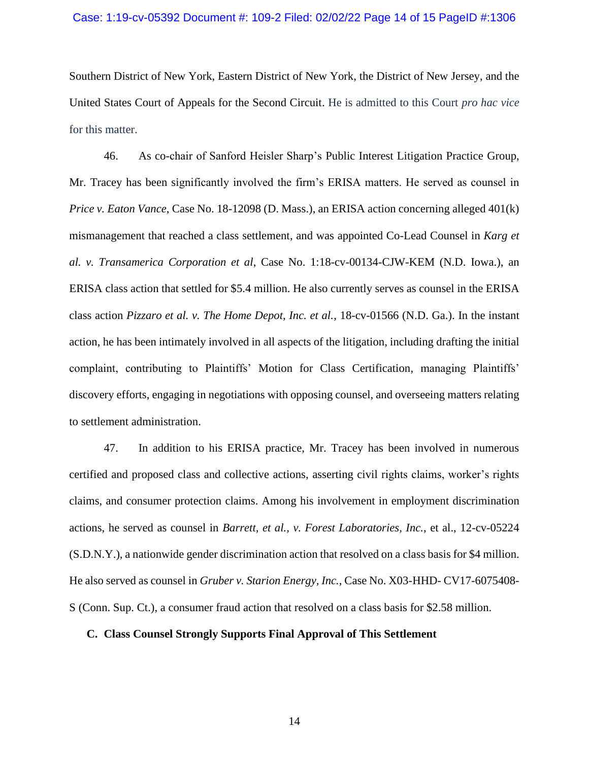Southern District of New York, Eastern District of New York, the District of New Jersey, and the United States Court of Appeals for the Second Circuit. He is admitted to this Court *pro hac vice* for this matter.

46. As co-chair of Sanford Heisler Sharp's Public Interest Litigation Practice Group, Mr. Tracey has been significantly involved the firm's ERISA matters. He served as counsel in *Price v. Eaton Vance*, Case No. 18-12098 (D. Mass.), an ERISA action concerning alleged 401(k) mismanagement that reached a class settlement, and was appointed Co-Lead Counsel in *Karg et al. v. Transamerica Corporation et al*, Case No. 1:18-cv-00134-CJW-KEM (N.D. Iowa.), an ERISA class action that settled for \$5.4 million. He also currently serves as counsel in the ERISA class action *Pizzaro et al. v. The Home Depot, Inc. et al.*, 18-cv-01566 (N.D. Ga.). In the instant action, he has been intimately involved in all aspects of the litigation, including drafting the initial complaint, contributing to Plaintiffs' Motion for Class Certification, managing Plaintiffs' discovery efforts, engaging in negotiations with opposing counsel, and overseeing matters relating to settlement administration.

47. In addition to his ERISA practice, Mr. Tracey has been involved in numerous certified and proposed class and collective actions, asserting civil rights claims, worker's rights claims, and consumer protection claims. Among his involvement in employment discrimination actions, he served as counsel in *Barrett, et al., v. Forest Laboratories, Inc.*, et al., 12-cv-05224 (S.D.N.Y.), a nationwide gender discrimination action that resolved on a class basis for \$4 million. He also served as counsel in *Gruber v. Starion Energy, Inc.*, Case No. X03-HHD- CV17-6075408- S (Conn. Sup. Ct.), a consumer fraud action that resolved on a class basis for \$2.58 million.

#### **C. Class Counsel Strongly Supports Final Approval of This Settlement**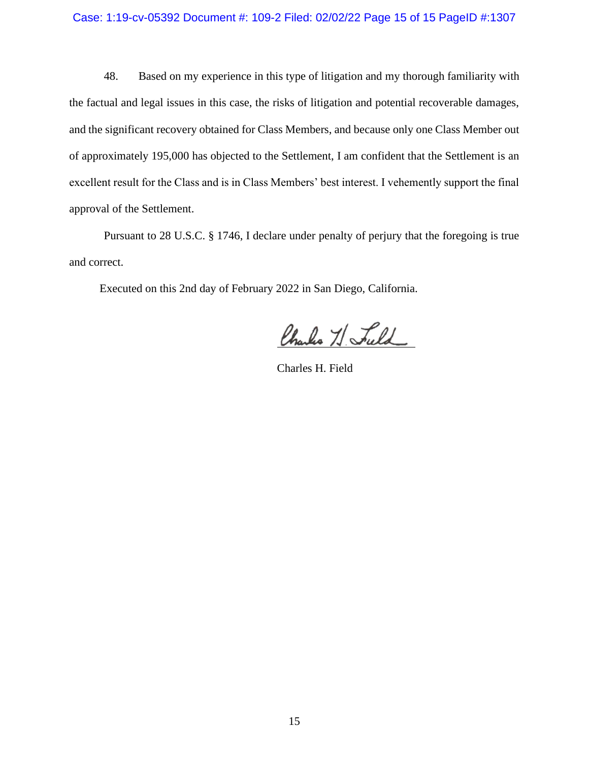48. Based on my experience in this type of litigation and my thorough familiarity with the factual and legal issues in this case, the risks of litigation and potential recoverable damages, and the significant recovery obtained for Class Members, and because only one Class Member out of approximately 195,000 has objected to the Settlement, I am confident that the Settlement is an excellent result for the Class and is in Class Members' best interest. I vehemently support the final approval of the Settlement.

Pursuant to 28 U.S.C. § 1746, I declare under penalty of perjury that the foregoing is true and correct.

Executed on this 2nd day of February 2022 in San Diego, California.

Charles 7) Fuld

Charles H. Field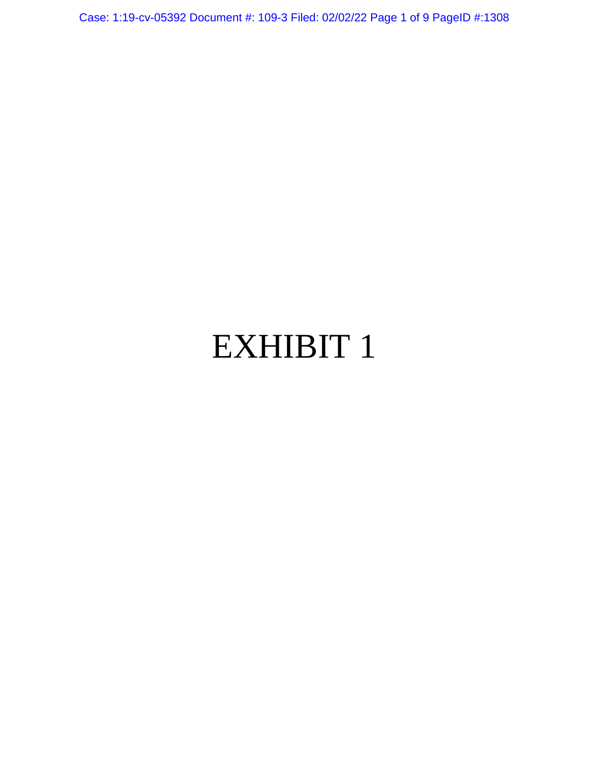Case: 1:19-cv-05392 Document #: 109-3 Filed: 02/02/22 Page 1 of 9 PageID #:1308

# EXHIBIT 1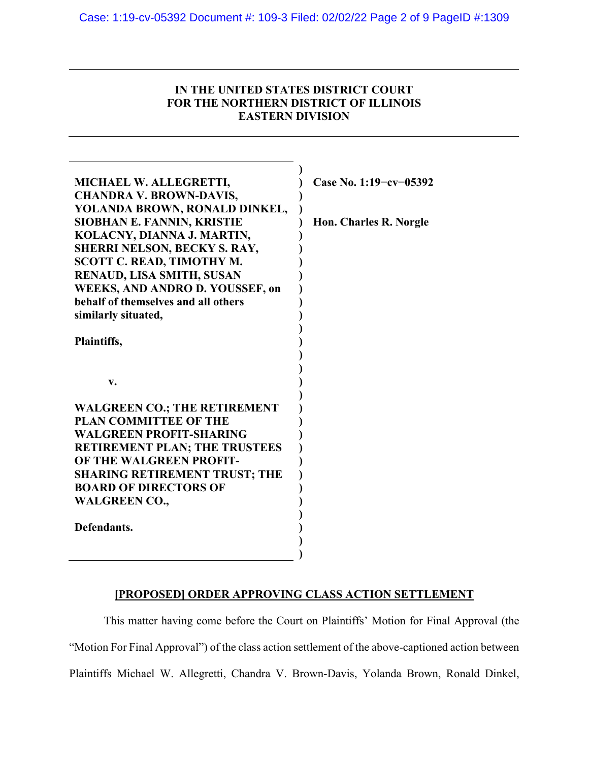## **IN THE UNITED STATES DISTRICT COURT FOR THE NORTHERN DISTRICT OF ILLINOIS EASTERN DIVISION**

| MICHAEL W. ALLEGRETTI,                 | Case No. 1:19-cv-05392 |
|----------------------------------------|------------------------|
| <b>CHANDRA V. BROWN-DAVIS,</b>         |                        |
| YOLANDA BROWN, RONALD DINKEL,          |                        |
| SIOBHAN E. FANNIN, KRISTIE             | Hon. Charles R. Norgle |
| KOLACNY, DIANNA J. MARTIN,             |                        |
| <b>SHERRI NELSON, BECKY S. RAY,</b>    |                        |
| <b>SCOTT C. READ, TIMOTHY M.</b>       |                        |
| RENAUD, LISA SMITH, SUSAN              |                        |
| <b>WEEKS, AND ANDRO D. YOUSSEF, on</b> |                        |
| behalf of themselves and all others    |                        |
| similarly situated,                    |                        |
|                                        |                        |
| Plaintiffs,                            |                        |
|                                        |                        |
|                                        |                        |
| v.                                     |                        |
| <b>WALGREEN CO.; THE RETIREMENT</b>    |                        |
| <b>PLAN COMMITTEE OF THE</b>           |                        |
| <b>WALGREEN PROFIT-SHARING</b>         |                        |
| <b>RETIREMENT PLAN; THE TRUSTEES</b>   |                        |
| OF THE WALGREEN PROFIT-                |                        |
| <b>SHARING RETIREMENT TRUST; THE</b>   |                        |
| <b>BOARD OF DIRECTORS OF</b>           |                        |
| <b>WALGREEN CO.,</b>                   |                        |
|                                        |                        |
| Defendants.                            |                        |
|                                        |                        |
|                                        |                        |

### **[PROPOSED] ORDER APPROVING CLASS ACTION SETTLEMENT**

This matter having come before the Court on Plaintiffs' Motion for Final Approval (the "Motion For Final Approval") of the class action settlement of the above-captioned action between Plaintiffs Michael W. Allegretti, Chandra V. Brown-Davis, Yolanda Brown, Ronald Dinkel,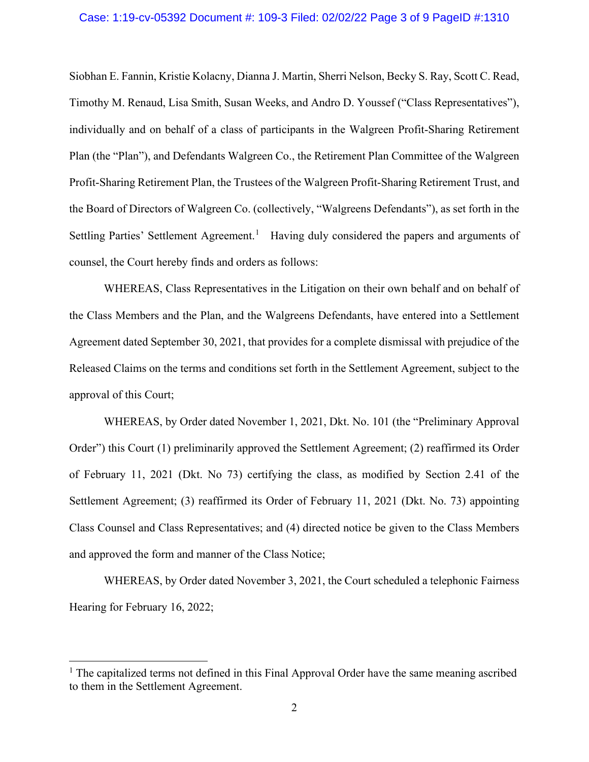#### Case: 1:19-cv-05392 Document #: 109-3 Filed: 02/02/22 Page 3 of 9 PageID #:1310

Siobhan E. Fannin, Kristie Kolacny, Dianna J. Martin, Sherri Nelson, Becky S. Ray, Scott C. Read, Timothy M. Renaud, Lisa Smith, Susan Weeks, and Andro D. Youssef ("Class Representatives"), individually and on behalf of a class of participants in the Walgreen Profit-Sharing Retirement Plan (the "Plan"), and Defendants Walgreen Co., the Retirement Plan Committee of the Walgreen Profit-Sharing Retirement Plan, the Trustees of the Walgreen Profit-Sharing Retirement Trust, and the Board of Directors of Walgreen Co. (collectively, "Walgreens Defendants"), as set forth in the Settling Parties' Settlement Agreement.<sup>[1](#page-17-0)</sup> Having duly considered the papers and arguments of counsel, the Court hereby finds and orders as follows:

WHEREAS, Class Representatives in the Litigation on their own behalf and on behalf of the Class Members and the Plan, and the Walgreens Defendants, have entered into a Settlement Agreement dated September 30, 2021, that provides for a complete dismissal with prejudice of the Released Claims on the terms and conditions set forth in the Settlement Agreement, subject to the approval of this Court;

WHEREAS, by Order dated November 1, 2021, Dkt. No. 101 (the "Preliminary Approval Order") this Court (1) preliminarily approved the Settlement Agreement; (2) reaffirmed its Order of February 11, 2021 (Dkt. No 73) certifying the class, as modified by Section 2.41 of the Settlement Agreement; (3) reaffirmed its Order of February 11, 2021 (Dkt. No. 73) appointing Class Counsel and Class Representatives; and (4) directed notice be given to the Class Members and approved the form and manner of the Class Notice;

WHEREAS, by Order dated November 3, 2021, the Court scheduled a telephonic Fairness Hearing for February 16, 2022;

<span id="page-17-0"></span><sup>&</sup>lt;sup>1</sup> The capitalized terms not defined in this Final Approval Order have the same meaning ascribed to them in the Settlement Agreement.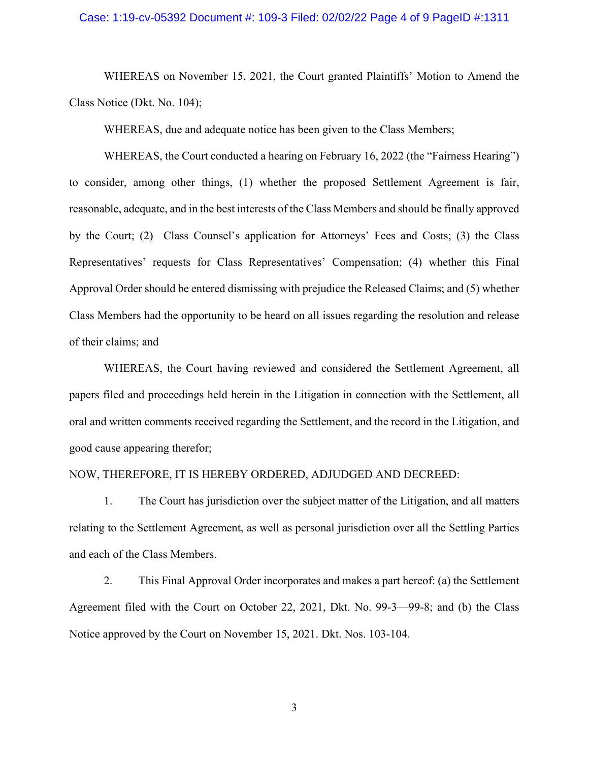#### Case: 1:19-cv-05392 Document #: 109-3 Filed: 02/02/22 Page 4 of 9 PageID #:1311

WHEREAS on November 15, 2021, the Court granted Plaintiffs' Motion to Amend the Class Notice (Dkt. No. 104);

WHEREAS, due and adequate notice has been given to the Class Members;

WHEREAS, the Court conducted a hearing on February 16, 2022 (the "Fairness Hearing") to consider, among other things, (1) whether the proposed Settlement Agreement is fair, reasonable, adequate, and in the best interests of the Class Members and should be finally approved by the Court; (2) Class Counsel's application for Attorneys' Fees and Costs; (3) the Class Representatives' requests for Class Representatives' Compensation; (4) whether this Final Approval Order should be entered dismissing with prejudice the Released Claims; and (5) whether Class Members had the opportunity to be heard on all issues regarding the resolution and release of their claims; and

WHEREAS, the Court having reviewed and considered the Settlement Agreement, all papers filed and proceedings held herein in the Litigation in connection with the Settlement, all oral and written comments received regarding the Settlement, and the record in the Litigation, and good cause appearing therefor;

#### NOW, THEREFORE, IT IS HEREBY ORDERED, ADJUDGED AND DECREED:

1. The Court has jurisdiction over the subject matter of the Litigation, and all matters relating to the Settlement Agreement, as well as personal jurisdiction over all the Settling Parties and each of the Class Members.

2. This Final Approval Order incorporates and makes a part hereof: (a) the Settlement Agreement filed with the Court on October 22, 2021, Dkt. No. 99-3—99-8; and (b) the Class Notice approved by the Court on November 15, 2021. Dkt. Nos. 103-104.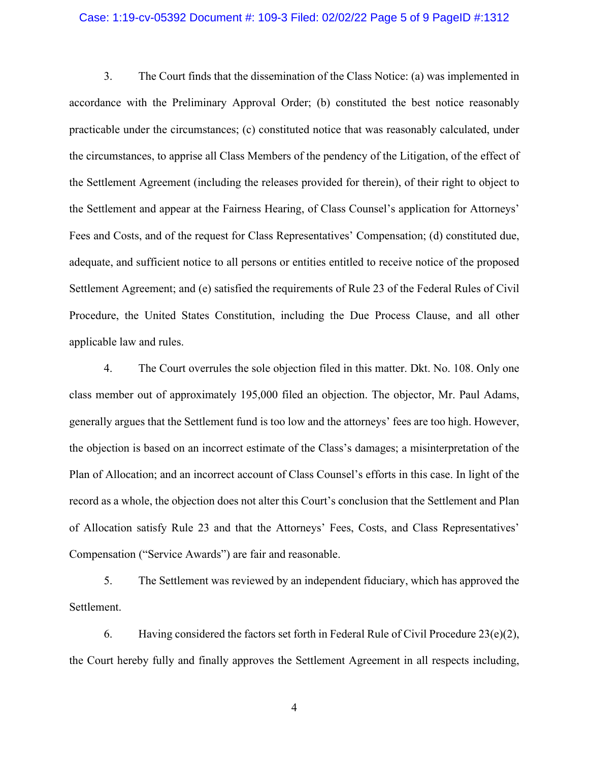#### Case: 1:19-cv-05392 Document #: 109-3 Filed: 02/02/22 Page 5 of 9 PageID #:1312

3. The Court finds that the dissemination of the Class Notice: (a) was implemented in accordance with the Preliminary Approval Order; (b) constituted the best notice reasonably practicable under the circumstances; (c) constituted notice that was reasonably calculated, under the circumstances, to apprise all Class Members of the pendency of the Litigation, of the effect of the Settlement Agreement (including the releases provided for therein), of their right to object to the Settlement and appear at the Fairness Hearing, of Class Counsel's application for Attorneys' Fees and Costs, and of the request for Class Representatives' Compensation; (d) constituted due, adequate, and sufficient notice to all persons or entities entitled to receive notice of the proposed Settlement Agreement; and (e) satisfied the requirements of Rule 23 of the Federal Rules of Civil Procedure, the United States Constitution, including the Due Process Clause, and all other applicable law and rules.

4. The Court overrules the sole objection filed in this matter. Dkt. No. 108. Only one class member out of approximately 195,000 filed an objection. The objector, Mr. Paul Adams, generally argues that the Settlement fund is too low and the attorneys' fees are too high. However, the objection is based on an incorrect estimate of the Class's damages; a misinterpretation of the Plan of Allocation; and an incorrect account of Class Counsel's efforts in this case. In light of the record as a whole, the objection does not alter this Court's conclusion that the Settlement and Plan of Allocation satisfy Rule 23 and that the Attorneys' Fees, Costs, and Class Representatives' Compensation ("Service Awards") are fair and reasonable.

5. The Settlement was reviewed by an independent fiduciary, which has approved the Settlement.

6. Having considered the factors set forth in Federal Rule of Civil Procedure 23(e)(2), the Court hereby fully and finally approves the Settlement Agreement in all respects including,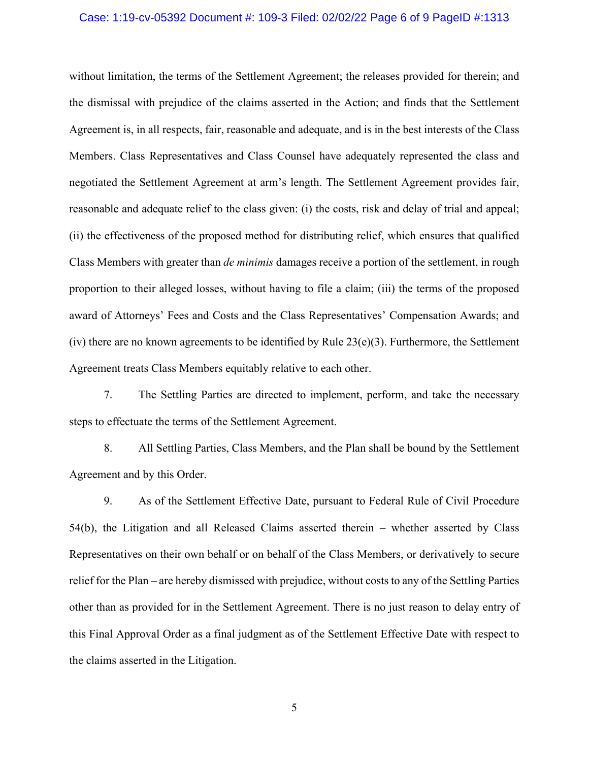#### Case: 1:19-cv-05392 Document #: 109-3 Filed: 02/02/22 Page 6 of 9 PageID #:1313

without limitation, the terms of the Settlement Agreement; the releases provided for therein; and the dismissal with prejudice of the claims asserted in the Action; and finds that the Settlement Agreement is, in all respects, fair, reasonable and adequate, and is in the best interests of the Class Members. Class Representatives and Class Counsel have adequately represented the class and negotiated the Settlement Agreement at arm's length. The Settlement Agreement provides fair, reasonable and adequate relief to the class given: (i) the costs, risk and delay of trial and appeal; (ii) the effectiveness of the proposed method for distributing relief, which ensures that qualified Class Members with greater than *de minimis* damages receive a portion of the settlement, in rough proportion to their alleged losses, without having to file a claim; (iii) the terms of the proposed award of Attorneys' Fees and Costs and the Class Representatives' Compensation Awards; and (iv) there are no known agreements to be identified by Rule  $23(e)(3)$ . Furthermore, the Settlement Agreement treats Class Members equitably relative to each other.

7. The Settling Parties are directed to implement, perform, and take the necessary steps to effectuate the terms of the Settlement Agreement.

8. All Settling Parties, Class Members, and the Plan shall be bound by the Settlement Agreement and by this Order.

9. As of the Settlement Effective Date, pursuant to Federal Rule of Civil Procedure 54(b), the Litigation and all Released Claims asserted therein – whether asserted by Class Representatives on their own behalf or on behalf of the Class Members, or derivatively to secure relief for the Plan – are hereby dismissed with prejudice, without costs to any of the Settling Parties other than as provided for in the Settlement Agreement. There is no just reason to delay entry of this Final Approval Order as a final judgment as of the Settlement Effective Date with respect to the claims asserted in the Litigation.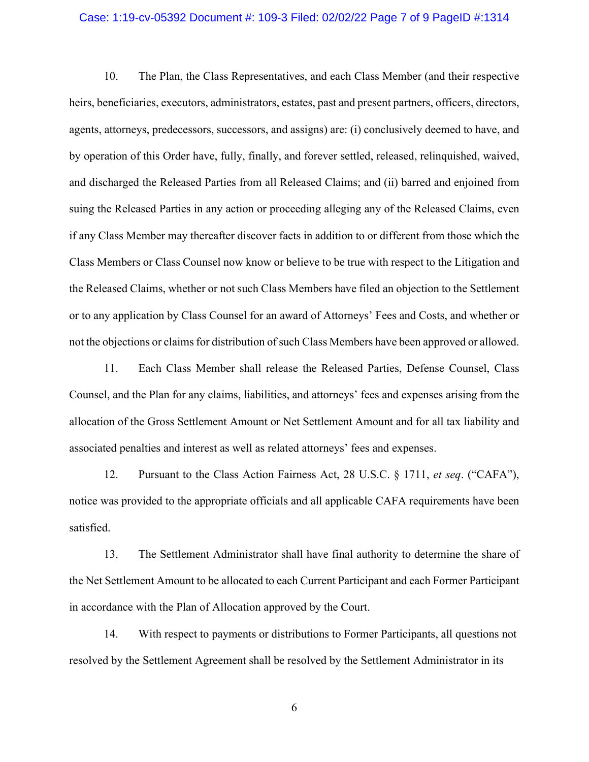#### Case: 1:19-cv-05392 Document #: 109-3 Filed: 02/02/22 Page 7 of 9 PageID #:1314

10. The Plan, the Class Representatives, and each Class Member (and their respective heirs, beneficiaries, executors, administrators, estates, past and present partners, officers, directors, agents, attorneys, predecessors, successors, and assigns) are: (i) conclusively deemed to have, and by operation of this Order have, fully, finally, and forever settled, released, relinquished, waived, and discharged the Released Parties from all Released Claims; and (ii) barred and enjoined from suing the Released Parties in any action or proceeding alleging any of the Released Claims, even if any Class Member may thereafter discover facts in addition to or different from those which the Class Members or Class Counsel now know or believe to be true with respect to the Litigation and the Released Claims, whether or not such Class Members have filed an objection to the Settlement or to any application by Class Counsel for an award of Attorneys' Fees and Costs, and whether or not the objections or claims for distribution of such Class Members have been approved or allowed.

11. Each Class Member shall release the Released Parties, Defense Counsel, Class Counsel, and the Plan for any claims, liabilities, and attorneys' fees and expenses arising from the allocation of the Gross Settlement Amount or Net Settlement Amount and for all tax liability and associated penalties and interest as well as related attorneys' fees and expenses.

12. Pursuant to the Class Action Fairness Act, 28 U.S.C. § 1711, *et seq*. ("CAFA"), notice was provided to the appropriate officials and all applicable CAFA requirements have been satisfied.

13. The Settlement Administrator shall have final authority to determine the share of the Net Settlement Amount to be allocated to each Current Participant and each Former Participant in accordance with the Plan of Allocation approved by the Court.

14. With respect to payments or distributions to Former Participants, all questions not resolved by the Settlement Agreement shall be resolved by the Settlement Administrator in its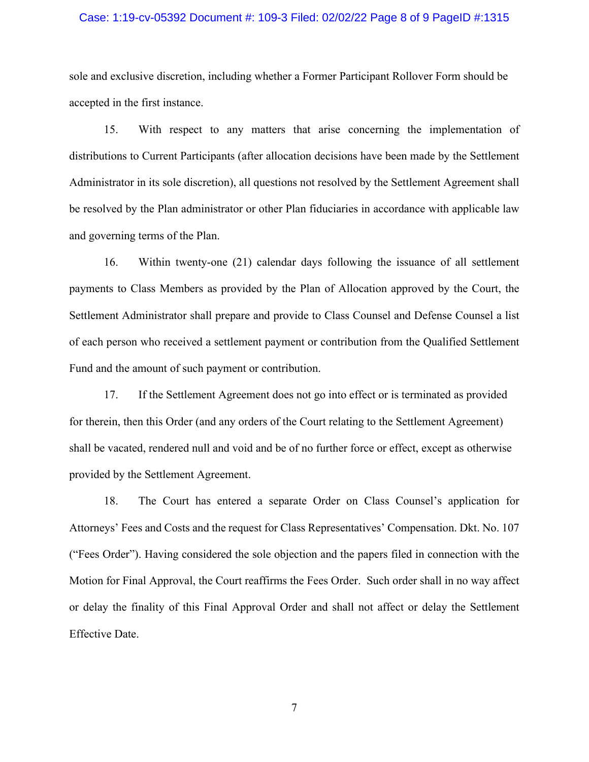#### Case: 1:19-cv-05392 Document #: 109-3 Filed: 02/02/22 Page 8 of 9 PageID #:1315

sole and exclusive discretion, including whether a Former Participant Rollover Form should be accepted in the first instance.

15. With respect to any matters that arise concerning the implementation of distributions to Current Participants (after allocation decisions have been made by the Settlement Administrator in its sole discretion), all questions not resolved by the Settlement Agreement shall be resolved by the Plan administrator or other Plan fiduciaries in accordance with applicable law and governing terms of the Plan.

16. Within twenty-one (21) calendar days following the issuance of all settlement payments to Class Members as provided by the Plan of Allocation approved by the Court, the Settlement Administrator shall prepare and provide to Class Counsel and Defense Counsel a list of each person who received a settlement payment or contribution from the Qualified Settlement Fund and the amount of such payment or contribution.

17. If the Settlement Agreement does not go into effect or is terminated as provided for therein, then this Order (and any orders of the Court relating to the Settlement Agreement) shall be vacated, rendered null and void and be of no further force or effect, except as otherwise provided by the Settlement Agreement.

18. The Court has entered a separate Order on Class Counsel's application for Attorneys' Fees and Costs and the request for Class Representatives' Compensation. Dkt. No. 107 ("Fees Order"). Having considered the sole objection and the papers filed in connection with the Motion for Final Approval, the Court reaffirms the Fees Order. Such order shall in no way affect or delay the finality of this Final Approval Order and shall not affect or delay the Settlement Effective Date.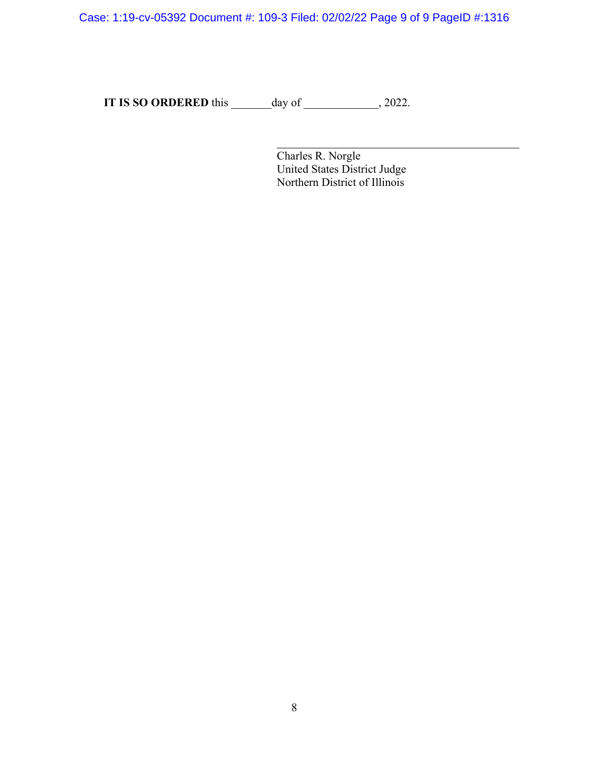Case: 1:19-cv-05392 Document #: 109-3 Filed: 02/02/22 Page 9 of 9 PageID #:1316

**IT IS SO ORDERED** this \_\_\_\_\_\_day of \_\_\_\_\_\_\_\_\_, 2022.

Charles R. Norgle United States District Judge Northern District of Illinois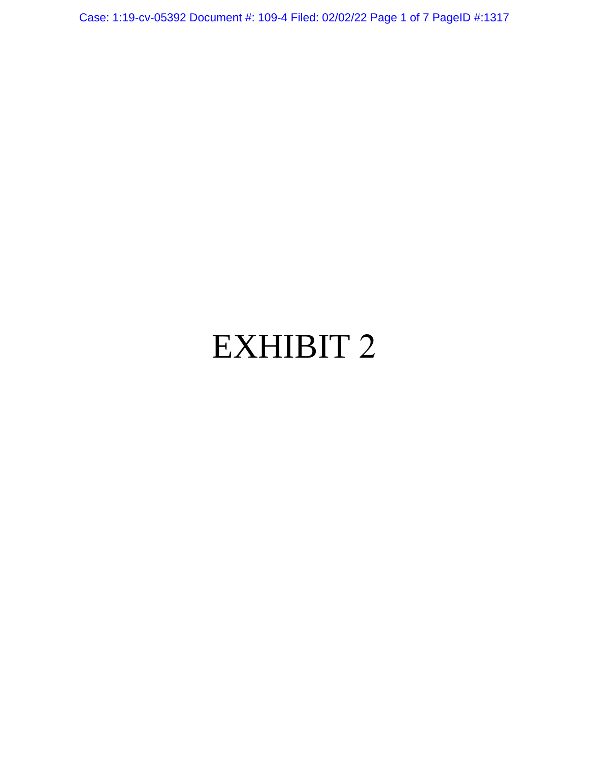Case: 1:19-cv-05392 Document #: 109-4 Filed: 02/02/22 Page 1 of 7 PageID #:1317

# EXHIBIT 2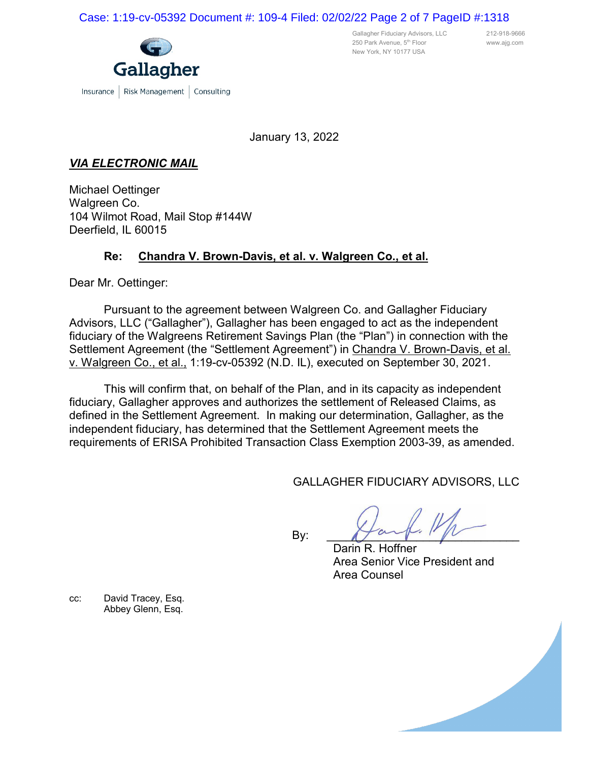

Gallagher Fiduciary Advisors, LLC 212-918-9666 250 Park Avenue, 5<sup>th</sup> Floor www.ajg.com New York, NY 10177 USA

January 13, 2022

## *VIA ELECTRONIC MAIL*

Michael Oettinger Walgreen Co. 104 Wilmot Road, Mail Stop #144W Deerfield, IL 60015

## **Re: Chandra V. Brown-Davis, et al. v. Walgreen Co., et al.**

Dear Mr. Oettinger:

Pursuant to the agreement between Walgreen Co. and Gallagher Fiduciary Advisors, LLC ("Gallagher"), Gallagher has been engaged to act as the independent fiduciary of the Walgreens Retirement Savings Plan (the "Plan") in connection with the Settlement Agreement (the "Settlement Agreement") in Chandra V. Brown-Davis, et al. v. Walgreen Co., et al., 1:19-cv-05392 (N.D. IL), executed on September 30, 2021.

This will confirm that, on behalf of the Plan, and in its capacity as independent fiduciary, Gallagher approves and authorizes the settlement of Released Claims, as defined in the Settlement Agreement. In making our determination, Gallagher, as the independent fiduciary, has determined that the Settlement Agreement meets the requirements of ERISA Prohibited Transaction Class Exemption 2003-39, as amended.

GALLAGHER FIDUCIARY ADVISORS, LLC

By:  $\mathbb{Z}$ 

Darin R. Hoffner Area Senior Vice President and Area Counsel

cc: David Tracey, Esq. Abbey Glenn, Esq.

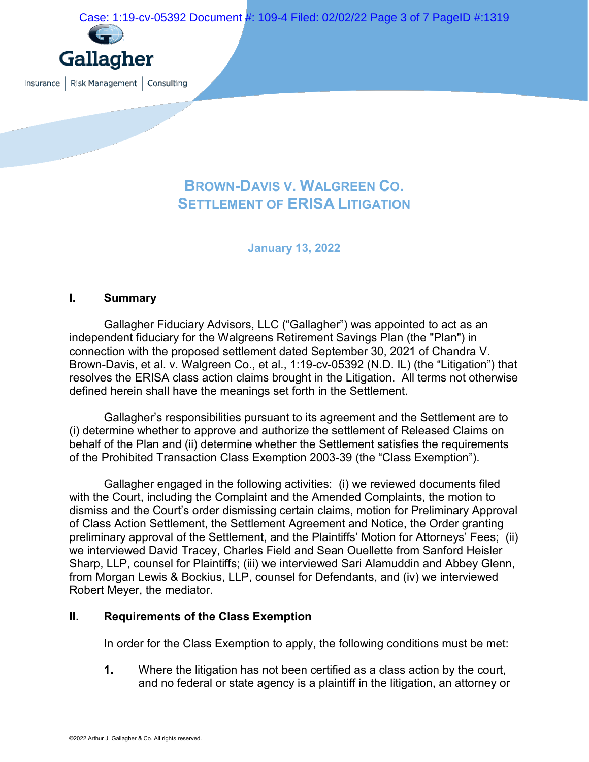Case: 1:19-cv-05392 Document #: 109-4 Filed: 02/02/22 Page 3 of 7 PageID #:1319



Insurance | Risk Management | Consulting

## **BROWN-DAVIS V. WALGREEN CO. SETTLEMENT OF ERISA LITIGATION**

**January 13, 2022**

## **I. Summary**

Gallagher Fiduciary Advisors, LLC ("Gallagher") was appointed to act as an independent fiduciary for the Walgreens Retirement Savings Plan (the "Plan") in connection with the proposed settlement dated September 30, 2021 of Chandra V. Brown-Davis, et al. v. Walgreen Co., et al., 1:19-cv-05392 (N.D. IL) (the "Litigation") that resolves the ERISA class action claims brought in the Litigation. All terms not otherwise defined herein shall have the meanings set forth in the Settlement.

Gallagher's responsibilities pursuant to its agreement and the Settlement are to (i) determine whether to approve and authorize the settlement of Released Claims on behalf of the Plan and (ii) determine whether the Settlement satisfies the requirements of the Prohibited Transaction Class Exemption 2003-39 (the "Class Exemption").

Gallagher engaged in the following activities: (i) we reviewed documents filed with the Court, including the Complaint and the Amended Complaints, the motion to dismiss and the Court's order dismissing certain claims, motion for Preliminary Approval of Class Action Settlement, the Settlement Agreement and Notice, the Order granting preliminary approval of the Settlement, and the Plaintiffs' Motion for Attorneys' Fees; (ii) we interviewed David Tracey, Charles Field and Sean Ouellette from Sanford Heisler Sharp, LLP, counsel for Plaintiffs; (iii) we interviewed Sari Alamuddin and Abbey Glenn, from Morgan Lewis & Bockius, LLP, counsel for Defendants, and (iv) we interviewed Robert Meyer, the mediator.

## **II. Requirements of the Class Exemption**

In order for the Class Exemption to apply, the following conditions must be met:

**1.** Where the litigation has not been certified as a class action by the court, and no federal or state agency is a plaintiff in the litigation, an attorney or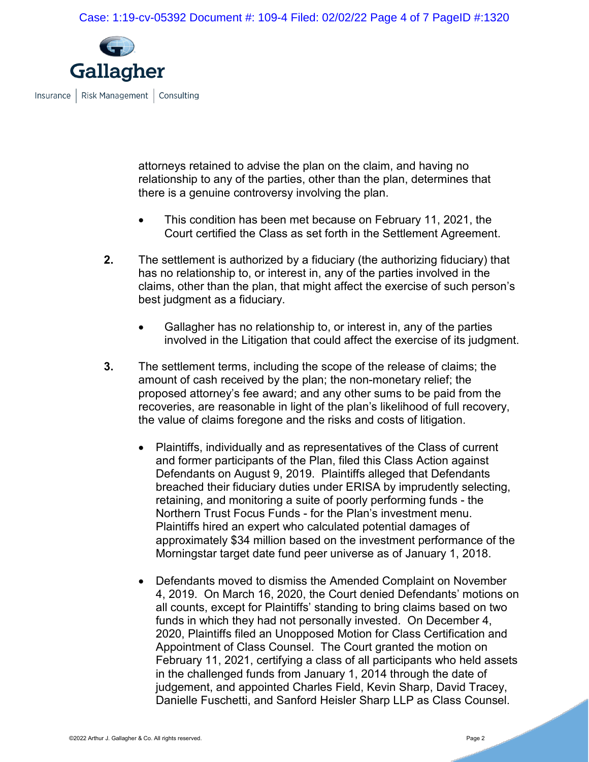

attorneys retained to advise the plan on the claim, and having no relationship to any of the parties, other than the plan, determines that there is a genuine controversy involving the plan.

- This condition has been met because on February 11, 2021, the Court certified the Class as set forth in the Settlement Agreement.
- **2.** The settlement is authorized by a fiduciary (the authorizing fiduciary) that has no relationship to, or interest in, any of the parties involved in the claims, other than the plan, that might affect the exercise of such person's best judgment as a fiduciary.
	- Gallagher has no relationship to, or interest in, any of the parties involved in the Litigation that could affect the exercise of its judgment.
- **3.** The settlement terms, including the scope of the release of claims; the amount of cash received by the plan; the non-monetary relief; the proposed attorney's fee award; and any other sums to be paid from the recoveries, are reasonable in light of the plan's likelihood of full recovery, the value of claims foregone and the risks and costs of litigation.
	- Plaintiffs, individually and as representatives of the Class of current and former participants of the Plan, filed this Class Action against Defendants on August 9, 2019. Plaintiffs alleged that Defendants breached their fiduciary duties under ERISA by imprudently selecting, retaining, and monitoring a suite of poorly performing funds - the Northern Trust Focus Funds - for the Plan's investment menu. Plaintiffs hired an expert who calculated potential damages of approximately \$34 million based on the investment performance of the Morningstar target date fund peer universe as of January 1, 2018.
	- Defendants moved to dismiss the Amended Complaint on November 4, 2019. On March 16, 2020, the Court denied Defendants' motions on all counts, except for Plaintiffs' standing to bring claims based on two funds in which they had not personally invested. On December 4, 2020, Plaintiffs filed an Unopposed Motion for Class Certification and Appointment of Class Counsel. The Court granted the motion on February 11, 2021, certifying a class of all participants who held assets in the challenged funds from January 1, 2014 through the date of judgement, and appointed Charles Field, Kevin Sharp, David Tracey, Danielle Fuschetti, and Sanford Heisler Sharp LLP as Class Counsel.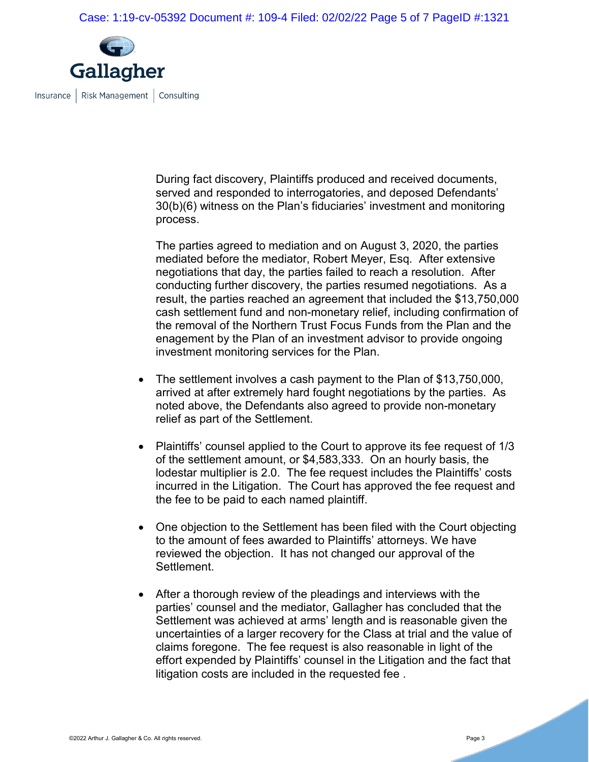

During fact discovery, Plaintiffs produced and received documents, served and responded to interrogatories, and deposed Defendants' 30(b)(6) witness on the Plan's fiduciaries' investment and monitoring process.

The parties agreed to mediation and on August 3, 2020, the parties mediated before the mediator, Robert Meyer, Esq. After extensive negotiations that day, the parties failed to reach a resolution. After conducting further discovery, the parties resumed negotiations. As a result, the parties reached an agreement that included the \$13,750,000 cash settlement fund and non-monetary relief, including confirmation of the removal of the Northern Trust Focus Funds from the Plan and the enagement by the Plan of an investment advisor to provide ongoing investment monitoring services for the Plan.

- The settlement involves a cash payment to the Plan of \$13,750,000, arrived at after extremely hard fought negotiations by the parties. As noted above, the Defendants also agreed to provide non-monetary relief as part of the Settlement.
- Plaintiffs' counsel applied to the Court to approve its fee request of 1/3 of the settlement amount, or \$4,583,333. On an hourly basis, the lodestar multiplier is 2.0. The fee request includes the Plaintiffs' costs incurred in the Litigation. The Court has approved the fee request and the fee to be paid to each named plaintiff.
- One objection to the Settlement has been filed with the Court objecting to the amount of fees awarded to Plaintiffs' attorneys. We have reviewed the objection. It has not changed our approval of the Settlement.
- After a thorough review of the pleadings and interviews with the parties' counsel and the mediator, Gallagher has concluded that the Settlement was achieved at arms' length and is reasonable given the uncertainties of a larger recovery for the Class at trial and the value of claims foregone. The fee request is also reasonable in light of the effort expended by Plaintiffs' counsel in the Litigation and the fact that litigation costs are included in the requested fee .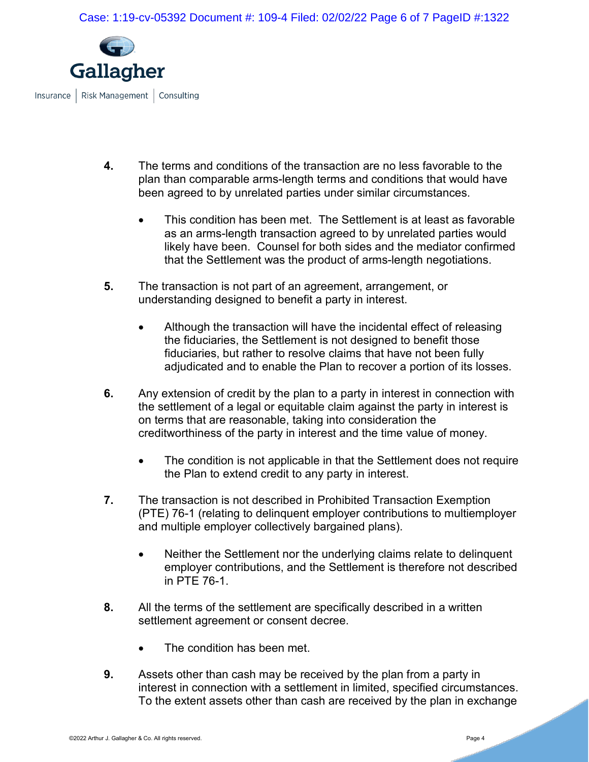

- **4.** The terms and conditions of the transaction are no less favorable to the plan than comparable arms-length terms and conditions that would have been agreed to by unrelated parties under similar circumstances.
	- This condition has been met. The Settlement is at least as favorable as an arms-length transaction agreed to by unrelated parties would likely have been. Counsel for both sides and the mediator confirmed that the Settlement was the product of arms-length negotiations.
- **5.** The transaction is not part of an agreement, arrangement, or understanding designed to benefit a party in interest.
	- Although the transaction will have the incidental effect of releasing the fiduciaries, the Settlement is not designed to benefit those fiduciaries, but rather to resolve claims that have not been fully adjudicated and to enable the Plan to recover a portion of its losses.
- **6.** Any extension of credit by the plan to a party in interest in connection with the settlement of a legal or equitable claim against the party in interest is on terms that are reasonable, taking into consideration the creditworthiness of the party in interest and the time value of money.
	- The condition is not applicable in that the Settlement does not require the Plan to extend credit to any party in interest.
- **7.** The transaction is not described in Prohibited Transaction Exemption (PTE) 76-1 (relating to delinquent employer contributions to multiemployer and multiple employer collectively bargained plans).
	- Neither the Settlement nor the underlying claims relate to delinguent employer contributions, and the Settlement is therefore not described in PTE 76-1.
- **8.** All the terms of the settlement are specifically described in a written settlement agreement or consent decree.
	- The condition has been met.
- **9.** Assets other than cash may be received by the plan from a party in interest in connection with a settlement in limited, specified circumstances. To the extent assets other than cash are received by the plan in exchange